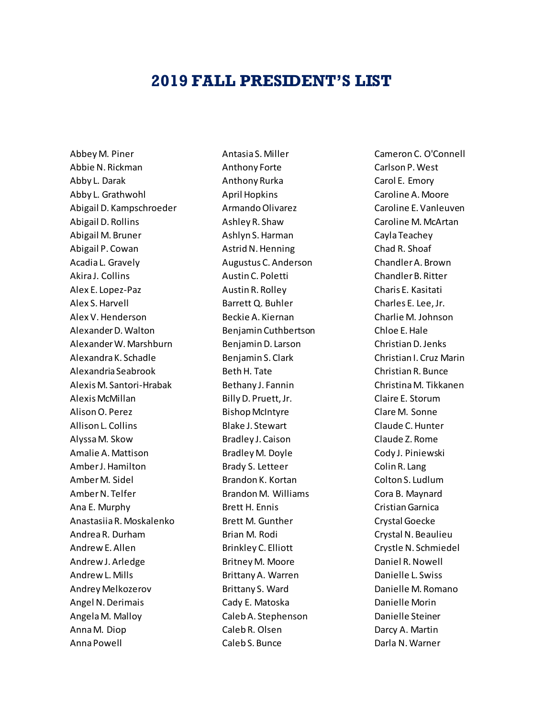## **2019 FALL PRESIDENT'S LIST**

Abbey M. Piner Abbie N. Rickman Abby L. Darak Abby L. Grathwohl Abigail D. Kampschroeder Abigail D. Rollins Abigail M. Bruner Abigail P. Cowan Acadia L. Gravely Akira J. Collins Alex E. Lopez-Paz Alex S. Harvell Alex V. Henderson Alexander D. Walton Alexander W. Marshburn Alexandra K. Schadle Alexandria Seabrook Alexis M. Santori-Hrabak Alexis McMillan Alison O. Perez Allison L. Collins Alyssa M. Skow Amalie A. Mattison Amber J. Hamilton Amber M. Sidel Amber N. Telfer Ana E. Murphy Anastasiia R. Moskalenko Andrea R. Durham Andrew E. Allen Andrew J. Arledge Andrew L. Mills Andrey Melkozerov Angel N. Derimais Angela M. Malloy Anna M. Diop Anna Powell

Antasia S. Miller Anthony Forte Anthony Rurka April Hopkins Armando Olivarez Ashley R. Shaw Ashlyn S. Harman Astrid N. Henning Augustus C. Anderson Austin C. Poletti Austin R. Rolley Barrett Q. Buhler Beckie A. Kiernan Benjamin Cuthbertson Benjamin D. Larson Benjamin S. Clark Beth H. Tate Bethany J. Fannin Billy D. Pruett, Jr. Bishop McIntyre Blake J. Stewart Bradley J. Caison Bradley M. Doyle Brady S. Letteer Brandon K. Kortan Brandon M. Williams Brett H. Ennis Brett M. Gunther Brian M. Rodi Brinkley C. Elliott Britney M. Moore Brittany A. Warren Brittany S. Ward Cady E. Matoska Caleb A. Stephenson Caleb R. Olsen Caleb S. Bunce

Cameron C. O'Connell Carlson P. West Carol E. Emory Caroline A. Moore Caroline E. Vanleuven Caroline M. McArtan Cayla Teachey Chad R. Shoaf Chandler A. Brown Chandler B. Ritter Charis E. Kasitati Charles E. Lee, Jr. Charlie M. Johnson Chloe E. Hale Christian D. Jenks Christian I. Cruz Marin Christian R. Bunce Christina M. Tikkanen Claire E. Storum Clare M. Sonne Claude C. Hunter Claude Z. Rome Cody J. Piniewski Colin R. Lang Colton S. Ludlum Cora B. Maynard Cristian Garnica Crystal Goecke Crystal N. Beaulieu Crystle N. Schmiedel Daniel R. Nowell Danielle L. Swiss Danielle M. Romano Danielle Morin Danielle Steiner Darcy A. Martin Darla N. Warner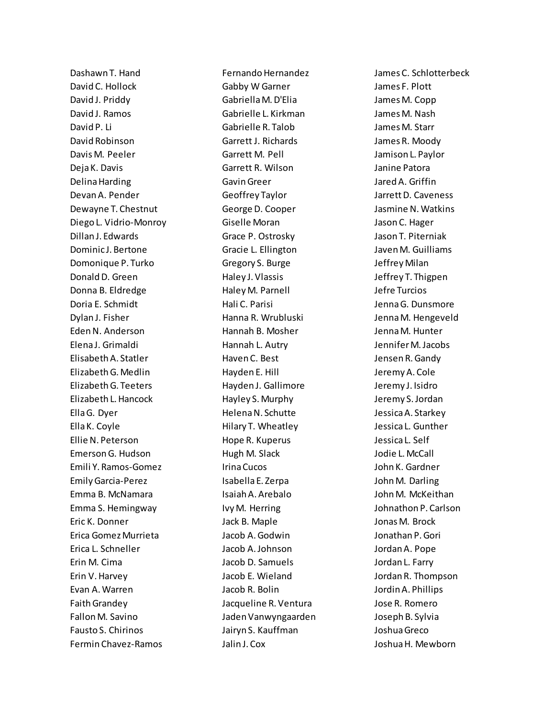Dashawn T. Hand David C. Hollock David J. Priddy David J. Ramos David P. Li David Robinson Davis M. Peeler Deja K. Davis Delina Harding Devan A. Pender Dewayne T. Chestnut Diego L. Vidrio-Monroy Dillan J. Edwards Dominic J. Bertone Domonique P. Turko Donald D. Green Donna B. Eldredge Doria E. Schmidt Dylan J. Fisher Eden N. Anderson Elena J. Grimaldi Elisabeth A. Statler Elizabeth G. Medlin Elizabeth G. Teeters Elizabeth L. Hancock Ella G. Dyer Ella K. Coyle Ellie N. Peterson Emerson G. Hudson Emili Y. Ramos-Gomez Emily Garcia-Perez Emma B. McNamara Emma S. Hemingway Eric K. Donner Erica Gomez Murrieta Erica L. Schneller Erin M. Cima Erin V. Harvey Evan A. Warren Faith Grandey Fallon M. Savino Fausto S. Chirinos Fermin Chavez-Ramos

Fernando Hernandez Gabby W Garner Gabriella M. D'Elia Gabrielle L. Kirkman Gabrielle R. Talob Garrett J. Richards Garrett M. Pell Garrett R. Wilson Gavin Greer Geoffrey Taylor George D. Cooper Giselle Moran Grace P. Ostrosky Gracie L. Ellington Gregory S. Burge Haley J. Vlassis Haley M. Parnell Hali C. Parisi Hanna R. Wrubluski Hannah B. Mosher Hannah L. Autry Haven C. Best Hayden E. Hill Hayden J. Gallimore Hayley S. Murphy Helena N. Schutte Hilary T. Wheatley Hope R. Kuperus Hugh M. Slack Irina Cucos Isabella E. Zerpa Isaiah A. Arebalo Ivy M. Herring Jack B. Maple Jacob A. Godwin Jacob A. Johnson Jacob D. Samuels Jacob E. Wieland Jacob R. Bolin Jacqueline R. Ventura Jaden Vanwyngaarden Jairyn S. Kauffman Jalin J. Cox

James C. Schlotterbeck James F. Plott James M. Copp James M. Nash James M. Starr James R. Moody Jamison L. Paylor Janine Patora Jared A. Griffin Jarrett D. Caveness Jasmine N. Watkins Jason C. Hager Jason T. Piterniak Javen M. Guilliams Jeffrey Milan Jeffrey T. Thigpen Jefre Turcios Jenna G. Dunsmore Jenna M. Hengeveld Jenna M. Hunter Jennifer M. Jacobs Jensen R. Gandy Jeremy A. Cole Jeremy J. Isidro Jeremy S. Jordan Jessica A. Starkey Jessica L. Gunther Jessica L. Self Jodie L. McCall John K. Gardner John M. Darling John M. McKeithan Johnathon P. Carlson Jonas M. Brock Jonathan P. Gori Jordan A. Pope Jordan L. Farry Jordan R. Thompson Jordin A. Phillips Jose R. Romero Joseph B. Sylvia Joshua Greco Joshua H. Mewborn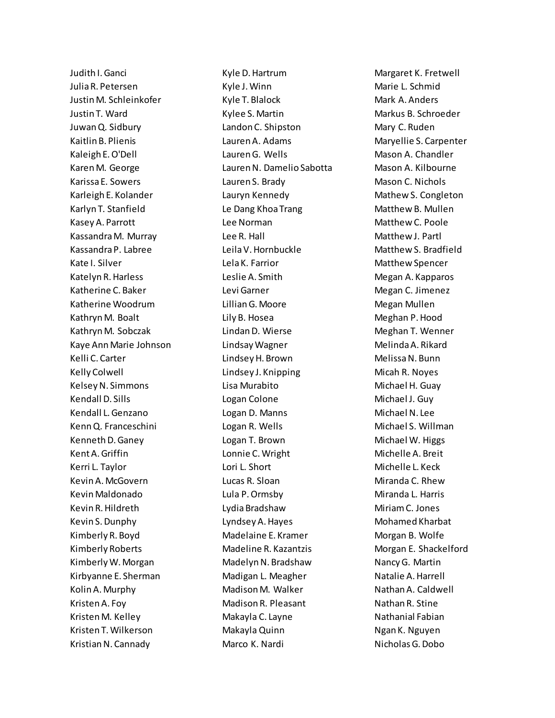Judith I. Ganci Julia R. Petersen Justin M. Schleinkofer Justin T. Ward Juwan Q. Sidbury Kaitlin B. Plienis Kaleigh E. O'Dell Karen M. George Karissa E. Sowers Karleigh E. Kolander Karlyn T. Stanfield Kasey A. Parrott Kassandra M. Murray Kassandra P. Labree Kate I. Silver Katelyn R. Harless Katherine C. Baker Katherine Woodrum Kathryn M. Boalt Kathryn M. Sobczak Kaye Ann Marie Johnson Kelli C. Carter Kelly Colwell Kelsey N. Simmons Kendall D. Sills Kendall L. Genzano Kenn Q. Franceschini Kenneth D. Ganey Kent A. Griffin Kerri L. Taylor Kevin A. McGovern Kevin Maldonado Kevin R. Hildreth Kevin S. Dunphy Kimberly R. Boyd Kimberly Roberts Kimberly W. Morgan Kirbyanne E. Sherman Kolin A. Murphy Kristen A. Foy Kristen M. Kelley Kristen T. Wilkerson Kristian N. Cannady

Kyle D. Hartrum Kyle J. Winn Kyle T. Blalock Kylee S. Martin Landon C. Shipston Lauren A. Adams Lauren G. Wells Lauren N. Damelio Sabotta Lauren S. Brady Lauryn Kennedy Le Dang Khoa Trang Lee Norman Lee R. Hall Leila V. Hornbuckle Lela K. Farrior Leslie A. Smith Levi Garner Lillian G. Moore Lily B. Hosea Lindan D. Wierse Lindsay Wagner Lindsey H. Brown Lindsey J. Knipping Lisa Murabito Logan Colone Logan D. Manns Logan R. Wells Logan T. Brown Lonnie C. Wright Lori L. Short Lucas R. Sloan Lula P. Ormsby Lydia Bradshaw Lyndsey A. Hayes Madelaine E. Kramer Madeline R. Kazantzis Madelyn N. Bradshaw Madigan L. Meagher Madison M. Walker Madison R. Pleasant Makayla C. Layne Makayla Quinn Marco K. Nardi

Margaret K. Fretwell Marie L. Schmid Mark A. Anders Markus B. Schroeder Mary C. Ruden Maryellie S. Carpenter Mason A. Chandler Mason A. Kilbourne Mason C. Nichols Mathew S. Congleton Matthew B. Mullen Matthew C. Poole Matthew J. Partl Matthew S. Bradfield Matthew Spencer Megan A. Kapparos Megan C. Jimenez Megan Mullen Meghan P. Hood Meghan T. Wenner Melinda A. Rikard Melissa N. Bunn Micah R. Noyes Michael H. Guay Michael J. Guy Michael N. Lee Michael S. Willman Michael W. Higgs Michelle A. Breit Michelle L. Keck Miranda C. Rhew Miranda L. Harris Miriam C. Jones Mohamed Kharbat Morgan B. Wolfe Morgan E. Shackelford Nancy G. Martin Natalie A. Harrell Nathan A. Caldwell Nathan R. Stine Nathanial Fabian Ngan K. Nguyen Nicholas G. Dobo